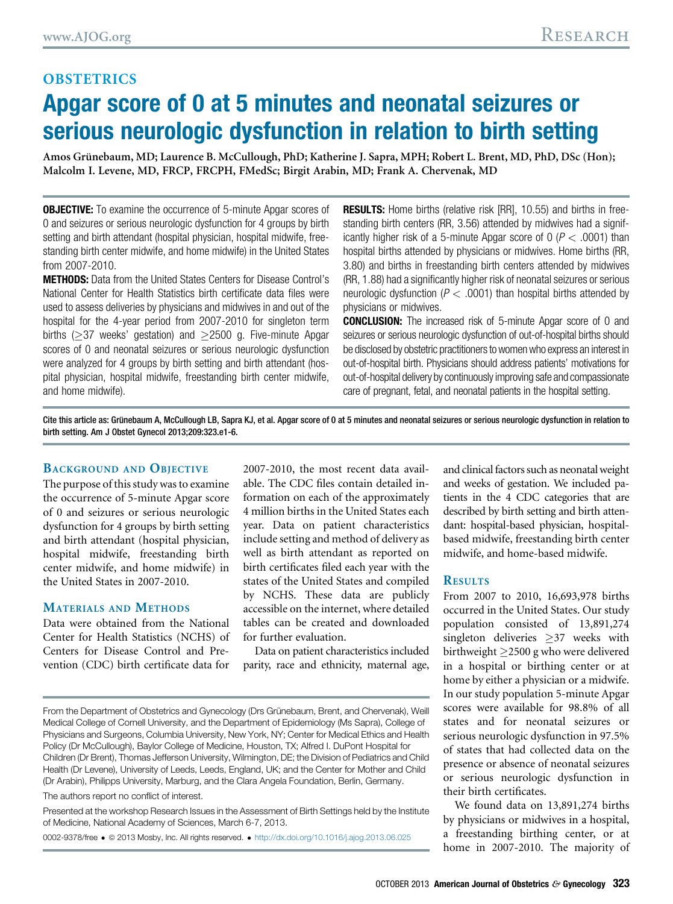## **OBSTETRICS** Apgar score of 0 at 5 minutes and neonatal seizures or serious neurologic dysfunction in relation to birth setting

Amos Grünebaum, MD; Laurence B. McCullough, PhD; Katherine J. Sapra, MPH; Robert L. Brent, MD, PhD, DSc (Hon); Malcolm I. Levene, MD, FRCP, FRCPH, FMedSc; Birgit Arabin, MD; Frank A. Chervenak, MD

**OBJECTIVE:** To examine the occurrence of 5-minute Apgar scores of 0 and seizures or serious neurologic dysfunction for 4 groups by birth setting and birth attendant (hospital physician, hospital midwife, freestanding birth center midwife, and home midwife) in the United States from 2007-2010.

METHODS: Data from the United States Centers for Disease Control's National Center for Health Statistics birth certificate data files were used to assess deliveries by physicians and midwives in and out of the hospital for the 4-year period from 2007-2010 for singleton term births ( $\geq$ 37 weeks' gestation) and  $\geq$ 2500 g. Five-minute Apgar scores of 0 and neonatal seizures or serious neurologic dysfunction were analyzed for 4 groups by birth setting and birth attendant (hospital physician, hospital midwife, freestanding birth center midwife, and home midwife).

**RESULTS:** Home births (relative risk [RR], 10.55) and births in freestanding birth centers (RR, 3.56) attended by midwives had a significantly higher risk of a 5-minute Apgar score of  $0$  ( $P < .0001$ ) than hospital births attended by physicians or midwives. Home births (RR, 3.80) and births in freestanding birth centers attended by midwives (RR, 1.88) had a significantly higher risk of neonatal seizures or serious neurologic dysfunction ( $P < .0001$ ) than hospital births attended by physicians or midwives.

CONCLUSION: The increased risk of 5-minute Apgar score of 0 and seizures or serious neurologic dysfunction of out-of-hospital births should be disclosed by obstetric practitioners to women who express an interest in out-of-hospital birth. Physicians should address patients' motivations for out-of-hospital delivery by continuously improving safe and compassionate care of pregnant, fetal, and neonatal patients in the hospital setting.

Cite this article as: Grünebaum A, McCullough LB, Sapra KJ, et al. Apgar score of 0 at 5 minutes and neonatal seizures or serious neurologic dysfunction in relation to birth setting. Am J Obstet Gynecol 2013;209:323.e1-6.

#### BACKGROUND AND OBJECTIVE

The purpose of this study was to examine the occurrence of 5-minute Apgar score of 0 and seizures or serious neurologic dysfunction for 4 groups by birth setting and birth attendant (hospital physician, hospital midwife, freestanding birth center midwife, and home midwife) in the United States in 2007-2010.

### MATERIALS AND METHODS

Data were obtained from the National Center for Health Statistics (NCHS) of Centers for Disease Control and Prevention (CDC) birth certificate data for 2007-2010, the most recent data available. The CDC files contain detailed information on each of the approximately 4 million births in the United States each year. Data on patient characteristics include setting and method of delivery as well as birth attendant as reported on birth certificates filed each year with the states of the United States and compiled by NCHS. These data are publicly accessible on the internet, where detailed tables can be created and downloaded for further evaluation.

Data on patient characteristics included parity, race and ethnicity, maternal age,

The authors report no conflict of interest.

Presented at the workshop Research Issues in the Assessment of Birth Settings held by the Institute of Medicine, National Academy of Sciences, March 6-7, 2013.

0002-9378/free ª 2013 Mosby, Inc. All rights reserved. <http://dx.doi.org/10.1016/j.ajog.2013.06.025>

and clinical factors such as neonatal weight and weeks of gestation. We included patients in the 4 CDC categories that are described by birth setting and birth attendant: hospital-based physician, hospitalbased midwife, freestanding birth center midwife, and home-based midwife.

#### **RESULTS**

From 2007 to 2010, 16,693,978 births occurred in the United States. Our study population consisted of 13,891,274 singleton deliveries  $\geq$ 37 weeks with birthweight  $\geq$ 2500 g who were delivered in a hospital or birthing center or at home by either a physician or a midwife. In our study population 5-minute Apgar scores were available for 98.8% of all states and for neonatal seizures or serious neurologic dysfunction in 97.5% of states that had collected data on the presence or absence of neonatal seizures or serious neurologic dysfunction in their birth certificates.

We found data on 13,891,274 births by physicians or midwives in a hospital, a freestanding birthing center, or at home in 2007-2010. The majority of

From the Department of Obstetrics and Gynecology (Drs Grünebaum, Brent, and Chervenak), Weill Medical College of Cornell University, and the Department of Epidemiology (Ms Sapra), College of Physicians and Surgeons, Columbia University, New York, NY; Center for Medical Ethics and Health Policy (Dr McCullough), Baylor College of Medicine, Houston, TX; Alfred I. DuPont Hospital for Children (Dr Brent), Thomas Jefferson University, Wilmington, DE; the Division of Pediatrics and Child Health (Dr Levene), University of Leeds, Leeds, England, UK; and the Center for Mother and Child (Dr Arabin), Philipps University, Marburg, and the Clara Angela Foundation, Berlin, Germany.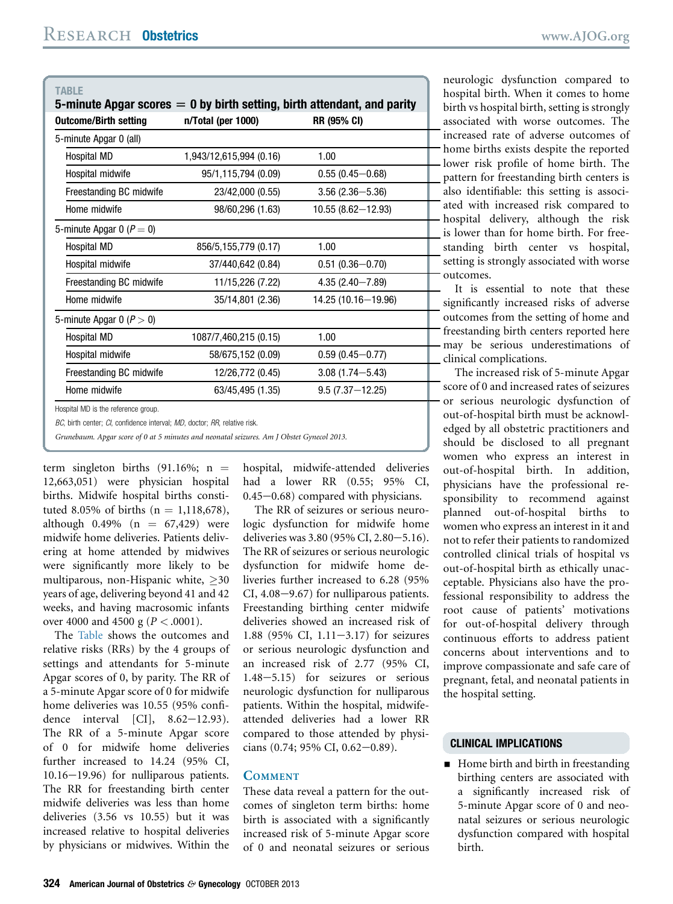| TABLE<br>5-minute Apgar scores $= 0$ by birth setting, birth attendant, and parity |                         |                       |
|------------------------------------------------------------------------------------|-------------------------|-----------------------|
| <b>Outcome/Birth setting</b>                                                       | n/Total (per 1000)      | <b>RR (95% CI)</b>    |
| 5-minute Apgar 0 (all)                                                             |                         |                       |
| Hospital MD                                                                        | 1.943/12.615.994 (0.16) | 1.00                  |
| Hospital midwife                                                                   | 95/1,115,794 (0.09)     | $0.55(0.45 - 0.68)$   |
| Freestanding BC midwife                                                            | 23/42,000 (0.55)        | $3.56(2.36 - 5.36)$   |
| Home midwife                                                                       | 98/60,296 (1.63)        | $10.55(8.62 - 12.93)$ |
| 5-minute Apgar 0 ( $P = 0$ )                                                       |                         |                       |
| Hospital MD                                                                        | 856/5,155,779 (0.17)    | 1.00                  |
| Hospital midwife                                                                   | 37/440,642 (0.84)       | $0.51(0.36 - 0.70)$   |
| Freestanding BC midwife                                                            | 11/15,226 (7.22)        | $4.35(2.40 - 7.89)$   |
| Home midwife                                                                       | 35/14,801 (2.36)        | 14.25 (10.16-19.96)   |
| 5-minute Apgar 0 ( $P > 0$ )                                                       |                         |                       |
| Hospital MD                                                                        | 1087/7,460,215 (0.15)   | 1.00                  |
| Hospital midwife                                                                   | 58/675,152 (0.09)       | $0.59(0.45 - 0.77)$   |
| Freestanding BC midwife                                                            | 12/26,772 (0.45)        | $3.08(1.74 - 5.43)$   |
| Home midwife                                                                       | 63/45,495 (1.35)        | $9.5(7.37 - 12.25)$   |
| Hosnital MD is the reference aroun                                                 |                         |                       |

MD is the reference group.

BC, birth center; CI, confidence interval; MD, doctor; BB, relative risk.

Grunebaum. Apgar score of 0 at 5 minutes and neonatal seizures. Am J Obstet Gynecol 2013.

term singleton births  $(91.16\%; n =$ 12,663,051) were physician hospital births. Midwife hospital births constituted 8.05% of births  $(n = 1,118,678)$ , although 0.49% ( $n = 67,429$ ) were midwife home deliveries. Patients delivering at home attended by midwives were significantly more likely to be multiparous, non-Hispanic white,  $\geq 30$ years of age, delivering beyond 41 and 42 weeks, and having macrosomic infants over 4000 and 4500 g ( $P < .0001$ ).

The Table shows the outcomes and relative risks (RRs) by the 4 groups of settings and attendants for 5-minute Apgar scores of 0, by parity. The RR of a 5-minute Apgar score of 0 for midwife home deliveries was 10.55 (95% confidence interval  $\begin{bmatrix} \text{CI} \end{bmatrix}$ , 8.62-12.93). The RR of a 5-minute Apgar score of 0 for midwife home deliveries further increased to 14.24 (95% CI,  $10.16 - 19.96$ ) for nulliparous patients. The RR for freestanding birth center midwife deliveries was less than home deliveries (3.56 vs 10.55) but it was increased relative to hospital deliveries by physicians or midwives. Within the

hospital, midwife-attended deliveries had a lower RR (0.55; 95% CI,  $0.45-0.68$ ) compared with physicians.

The RR of seizures or serious neurologic dysfunction for midwife home deliveries was 3.80 (95% CI, 2.80-5.16). The RR of seizures or serious neurologic dysfunction for midwife home deliveries further increased to 6.28 (95%  $CI, 4.08-9.67$  for nulliparous patients. Freestanding birthing center midwife deliveries showed an increased risk of 1.88 (95% CI,  $1.11-3.17$ ) for seizures or serious neurologic dysfunction and an increased risk of 2.77 (95% CI,  $1.48-5.15$ ) for seizures or serious neurologic dysfunction for nulliparous patients. Within the hospital, midwifeattended deliveries had a lower RR compared to those attended by physicians (0.74; 95% CI, 0.62-0.89).

#### **COMMENT**

These data reveal a pattern for the outcomes of singleton term births: home birth is associated with a significantly increased risk of 5-minute Apgar score of 0 and neonatal seizures or serious

neurologic dysfunction compared to hospital birth. When it comes to home birth vs hospital birth, setting is strongly associated with worse outcomes. The increased rate of adverse outcomes of home births exists despite the reported - lower risk profile of home birth. The pattern for freestanding birth centers is also identifiable: this setting is associated with increased risk compared to hospital delivery, although the risk is lower than for home birth. For freestanding birth center vs hospital, setting is strongly associated with worse outcomes.

It is essential to note that these significantly increased risks of adverse outcomes from the setting of home and freestanding birth centers reported here - may be serious underestimations of clinical complications.

The increased risk of 5-minute Apgar score of 0 and increased rates of seizures or serious neurologic dysfunction of out-of-hospital birth must be acknowledged by all obstetric practitioners and should be disclosed to all pregnant women who express an interest in out-of-hospital birth. In addition, physicians have the professional responsibility to recommend against planned out-of-hospital births to women who express an interest in it and not to refer their patients to randomized controlled clinical trials of hospital vs out-of-hospital birth as ethically unacceptable. Physicians also have the professional responsibility to address the root cause of patients' motivations for out-of-hospital delivery through continuous efforts to address patient concerns about interventions and to improve compassionate and safe care of pregnant, fetal, and neonatal patients in the hospital setting.

#### CLINICAL IMPLICATIONS

**Home birth and birth in freestanding** birthing centers are associated with a significantly increased risk of 5-minute Apgar score of 0 and neonatal seizures or serious neurologic dysfunction compared with hospital birth.